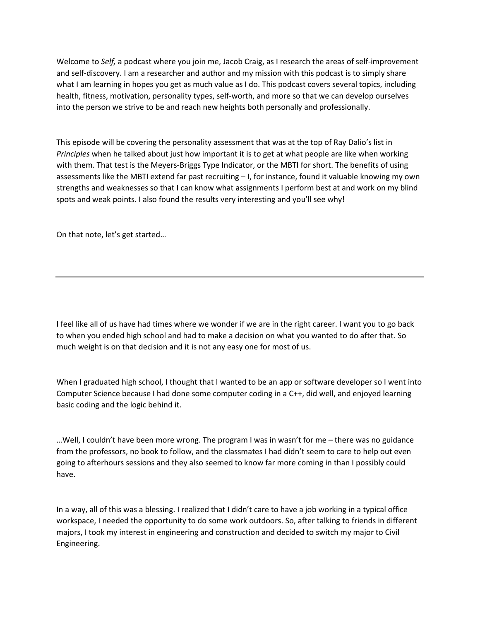Welcome to *Self,* a podcast where you join me, Jacob Craig, as I research the areas of self-improvement and self-discovery. I am a researcher and author and my mission with this podcast is to simply share what I am learning in hopes you get as much value as I do. This podcast covers several topics, including health, fitness, motivation, personality types, self-worth, and more so that we can develop ourselves into the person we strive to be and reach new heights both personally and professionally.

This episode will be covering the personality assessment that was at the top of Ray Dalio's list in *Principles* when he talked about just how important it is to get at what people are like when working with them. That test is the Meyers-Briggs Type Indicator, or the MBTI for short. The benefits of using assessments like the MBTI extend far past recruiting – I, for instance, found it valuable knowing my own strengths and weaknesses so that I can know what assignments I perform best at and work on my blind spots and weak points. I also found the results very interesting and you'll see why!

On that note, let's get started…

I feel like all of us have had times where we wonder if we are in the right career. I want you to go back to when you ended high school and had to make a decision on what you wanted to do after that. So much weight is on that decision and it is not any easy one for most of us.

When I graduated high school, I thought that I wanted to be an app or software developer so I went into Computer Science because I had done some computer coding in a C++, did well, and enjoyed learning basic coding and the logic behind it.

…Well, I couldn't have been more wrong. The program I was in wasn't for me – there was no guidance from the professors, no book to follow, and the classmates I had didn't seem to care to help out even going to afterhours sessions and they also seemed to know far more coming in than I possibly could have.

In a way, all of this was a blessing. I realized that I didn't care to have a job working in a typical office workspace, I needed the opportunity to do some work outdoors. So, after talking to friends in different majors, I took my interest in engineering and construction and decided to switch my major to Civil Engineering.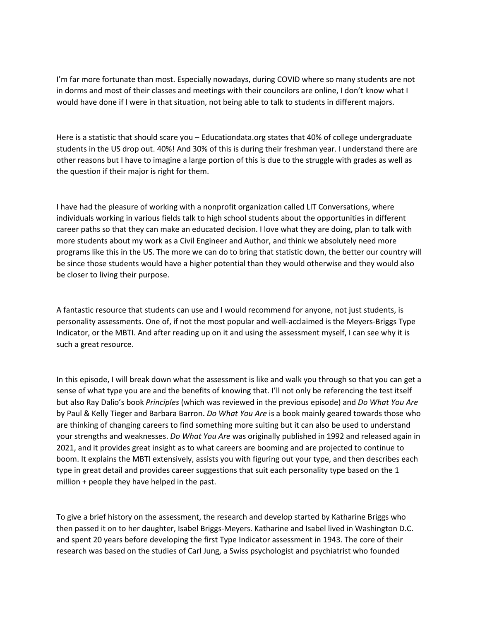I'm far more fortunate than most. Especially nowadays, during COVID where so many students are not in dorms and most of their classes and meetings with their councilors are online, I don't know what I would have done if I were in that situation, not being able to talk to students in different majors.

Here is a statistic that should scare you – Educationdata.org states that 40% of college undergraduate students in the US drop out. 40%! And 30% of this is during their freshman year. I understand there are other reasons but I have to imagine a large portion of this is due to the struggle with grades as well as the question if their major is right for them.

I have had the pleasure of working with a nonprofit organization called LIT Conversations, where individuals working in various fields talk to high school students about the opportunities in different career paths so that they can make an educated decision. I love what they are doing, plan to talk with more students about my work as a Civil Engineer and Author, and think we absolutely need more programs like this in the US. The more we can do to bring that statistic down, the better our country will be since those students would have a higher potential than they would otherwise and they would also be closer to living their purpose.

A fantastic resource that students can use and I would recommend for anyone, not just students, is personality assessments. One of, if not the most popular and well-acclaimed is the Meyers-Briggs Type Indicator, or the MBTI. And after reading up on it and using the assessment myself, I can see why it is such a great resource.

In this episode, I will break down what the assessment is like and walk you through so that you can get a sense of what type you are and the benefits of knowing that. I'll not only be referencing the test itself but also Ray Dalio's book *Principles* (which was reviewed in the previous episode) and *Do What You Are*  by Paul & Kelly Tieger and Barbara Barron. *Do What You Are* is a book mainly geared towards those who are thinking of changing careers to find something more suiting but it can also be used to understand your strengths and weaknesses. *Do What You Are* was originally published in 1992 and released again in 2021, and it provides great insight as to what careers are booming and are projected to continue to boom. It explains the MBTI extensively, assists you with figuring out your type, and then describes each type in great detail and provides career suggestions that suit each personality type based on the 1 million + people they have helped in the past.

To give a brief history on the assessment, the research and develop started by Katharine Briggs who then passed it on to her daughter, Isabel Briggs-Meyers. Katharine and Isabel lived in Washington D.C. and spent 20 years before developing the first Type Indicator assessment in 1943. The core of their research was based on the studies of Carl Jung, a Swiss psychologist and psychiatrist who founded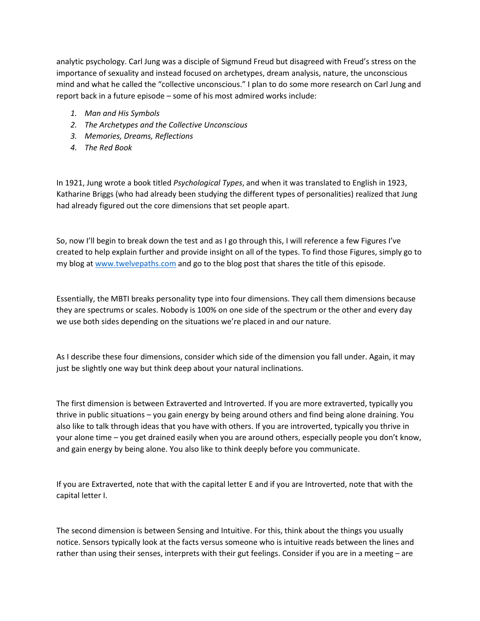analytic psychology. Carl Jung was a disciple of Sigmund Freud but disagreed with Freud's stress on the importance of sexuality and instead focused on archetypes, dream analysis, nature, the unconscious mind and what he called the "collective unconscious." I plan to do some more research on Carl Jung and report back in a future episode – some of his most admired works include:

- *1. Man and His Symbols*
- *2. The Archetypes and the Collective Unconscious*
- *3. Memories, Dreams, Reflections*
- *4. The Red Book*

In 1921, Jung wrote a book titled *Psychological Types*, and when it was translated to English in 1923, Katharine Briggs (who had already been studying the different types of personalities) realized that Jung had already figured out the core dimensions that set people apart.

So, now I'll begin to break down the test and as I go through this, I will reference a few Figures I've created to help explain further and provide insight on all of the types. To find those Figures, simply go to my blog at www.twelvepaths.com and go to the blog post that shares the title of this episode.

Essentially, the MBTI breaks personality type into four dimensions. They call them dimensions because they are spectrums or scales. Nobody is 100% on one side of the spectrum or the other and every day we use both sides depending on the situations we're placed in and our nature.

As I describe these four dimensions, consider which side of the dimension you fall under. Again, it may just be slightly one way but think deep about your natural inclinations.

The first dimension is between Extraverted and Introverted. If you are more extraverted, typically you thrive in public situations – you gain energy by being around others and find being alone draining. You also like to talk through ideas that you have with others. If you are introverted, typically you thrive in your alone time – you get drained easily when you are around others, especially people you don't know, and gain energy by being alone. You also like to think deeply before you communicate.

If you are Extraverted, note that with the capital letter E and if you are Introverted, note that with the capital letter I.

The second dimension is between Sensing and Intuitive. For this, think about the things you usually notice. Sensors typically look at the facts versus someone who is intuitive reads between the lines and rather than using their senses, interprets with their gut feelings. Consider if you are in a meeting – are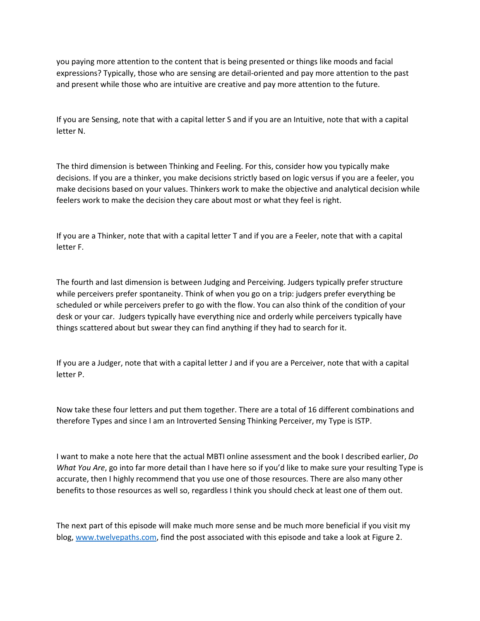you paying more attention to the content that is being presented or things like moods and facial expressions? Typically, those who are sensing are detail-oriented and pay more attention to the past and present while those who are intuitive are creative and pay more attention to the future.

If you are Sensing, note that with a capital letter S and if you are an Intuitive, note that with a capital letter N.

The third dimension is between Thinking and Feeling. For this, consider how you typically make decisions. If you are a thinker, you make decisions strictly based on logic versus if you are a feeler, you make decisions based on your values. Thinkers work to make the objective and analytical decision while feelers work to make the decision they care about most or what they feel is right.

If you are a Thinker, note that with a capital letter T and if you are a Feeler, note that with a capital letter F.

The fourth and last dimension is between Judging and Perceiving. Judgers typically prefer structure while perceivers prefer spontaneity. Think of when you go on a trip: judgers prefer everything be scheduled or while perceivers prefer to go with the flow. You can also think of the condition of your desk or your car. Judgers typically have everything nice and orderly while perceivers typically have things scattered about but swear they can find anything if they had to search for it.

If you are a Judger, note that with a capital letter J and if you are a Perceiver, note that with a capital letter P.

Now take these four letters and put them together. There are a total of 16 different combinations and therefore Types and since I am an Introverted Sensing Thinking Perceiver, my Type is ISTP.

I want to make a note here that the actual MBTI online assessment and the book I described earlier, *Do What You Are*, go into far more detail than I have here so if you'd like to make sure your resulting Type is accurate, then I highly recommend that you use one of those resources. There are also many other benefits to those resources as well so, regardless I think you should check at least one of them out.

The next part of this episode will make much more sense and be much more beneficial if you visit my blog, www.twelvepaths.com, find the post associated with this episode and take a look at Figure 2.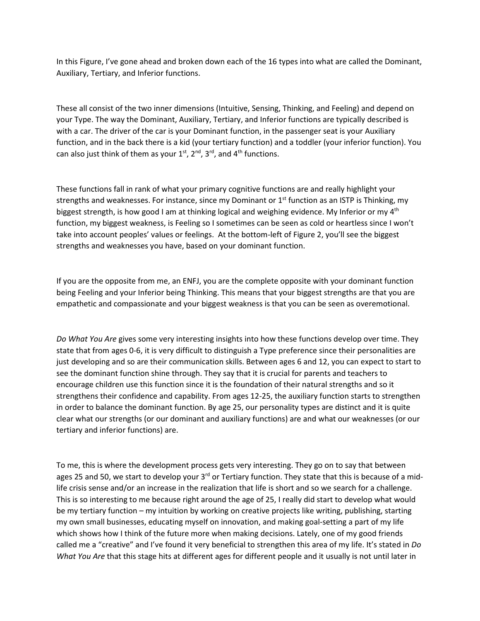In this Figure, I've gone ahead and broken down each of the 16 types into what are called the Dominant, Auxiliary, Tertiary, and Inferior functions.

These all consist of the two inner dimensions (Intuitive, Sensing, Thinking, and Feeling) and depend on your Type. The way the Dominant, Auxiliary, Tertiary, and Inferior functions are typically described is with a car. The driver of the car is your Dominant function, in the passenger seat is your Auxiliary function, and in the back there is a kid (your tertiary function) and a toddler (your inferior function). You can also just think of them as your  $1<sup>st</sup>$ ,  $2<sup>nd</sup>$ ,  $3<sup>rd</sup>$ , and  $4<sup>th</sup>$  functions.

These functions fall in rank of what your primary cognitive functions are and really highlight your strengths and weaknesses. For instance, since my Dominant or  $1<sup>st</sup>$  function as an ISTP is Thinking, my biggest strength, is how good I am at thinking logical and weighing evidence. My Inferior or my  $4<sup>th</sup>$ function, my biggest weakness, is Feeling so I sometimes can be seen as cold or heartless since I won't take into account peoples' values or feelings. At the bottom-left of Figure 2, you'll see the biggest strengths and weaknesses you have, based on your dominant function.

If you are the opposite from me, an ENFJ, you are the complete opposite with your dominant function being Feeling and your Inferior being Thinking. This means that your biggest strengths are that you are empathetic and compassionate and your biggest weakness is that you can be seen as overemotional.

*Do What You Are* gives some very interesting insights into how these functions develop over time. They state that from ages 0-6, it is very difficult to distinguish a Type preference since their personalities are just developing and so are their communication skills. Between ages 6 and 12, you can expect to start to see the dominant function shine through. They say that it is crucial for parents and teachers to encourage children use this function since it is the foundation of their natural strengths and so it strengthens their confidence and capability. From ages 12-25, the auxiliary function starts to strengthen in order to balance the dominant function. By age 25, our personality types are distinct and it is quite clear what our strengths (or our dominant and auxiliary functions) are and what our weaknesses (or our tertiary and inferior functions) are.

To me, this is where the development process gets very interesting. They go on to say that between ages 25 and 50, we start to develop your  $3<sup>rd</sup>$  or Tertiary function. They state that this is because of a midlife crisis sense and/or an increase in the realization that life is short and so we search for a challenge. This is so interesting to me because right around the age of 25, I really did start to develop what would be my tertiary function – my intuition by working on creative projects like writing, publishing, starting my own small businesses, educating myself on innovation, and making goal-setting a part of my life which shows how I think of the future more when making decisions. Lately, one of my good friends called me a "creative" and I've found it very beneficial to strengthen this area of my life. It's stated in *Do What You Are* that this stage hits at different ages for different people and it usually is not until later in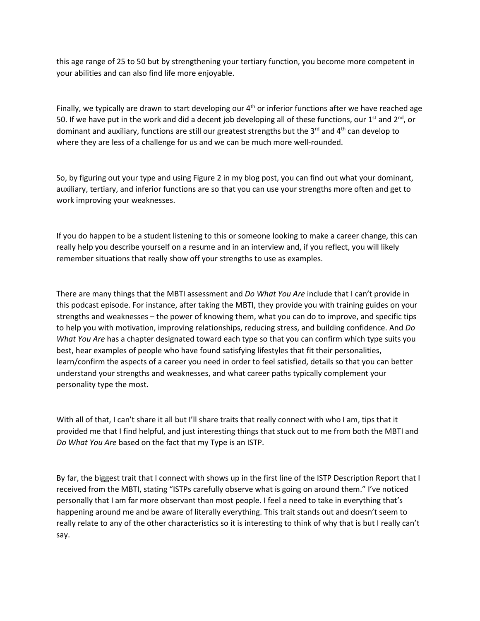this age range of 25 to 50 but by strengthening your tertiary function, you become more competent in your abilities and can also find life more enjoyable.

Finally, we typically are drawn to start developing our  $4<sup>th</sup>$  or inferior functions after we have reached age 50. If we have put in the work and did a decent job developing all of these functions, our 1<sup>st</sup> and 2<sup>nd</sup>, or dominant and auxiliary, functions are still our greatest strengths but the  $3<sup>rd</sup>$  and  $4<sup>th</sup>$  can develop to where they are less of a challenge for us and we can be much more well-rounded.

So, by figuring out your type and using Figure 2 in my blog post, you can find out what your dominant, auxiliary, tertiary, and inferior functions are so that you can use your strengths more often and get to work improving your weaknesses.

If you do happen to be a student listening to this or someone looking to make a career change, this can really help you describe yourself on a resume and in an interview and, if you reflect, you will likely remember situations that really show off your strengths to use as examples.

There are many things that the MBTI assessment and *Do What You Are* include that I can't provide in this podcast episode. For instance, after taking the MBTI, they provide you with training guides on your strengths and weaknesses – the power of knowing them, what you can do to improve, and specific tips to help you with motivation, improving relationships, reducing stress, and building confidence. And *Do What You Are* has a chapter designated toward each type so that you can confirm which type suits you best, hear examples of people who have found satisfying lifestyles that fit their personalities, learn/confirm the aspects of a career you need in order to feel satisfied, details so that you can better understand your strengths and weaknesses, and what career paths typically complement your personality type the most.

With all of that, I can't share it all but I'll share traits that really connect with who I am, tips that it provided me that I find helpful, and just interesting things that stuck out to me from both the MBTI and *Do What You Are* based on the fact that my Type is an ISTP.

By far, the biggest trait that I connect with shows up in the first line of the ISTP Description Report that I received from the MBTI, stating "ISTPs carefully observe what is going on around them." I've noticed personally that I am far more observant than most people. I feel a need to take in everything that's happening around me and be aware of literally everything. This trait stands out and doesn't seem to really relate to any of the other characteristics so it is interesting to think of why that is but I really can't say.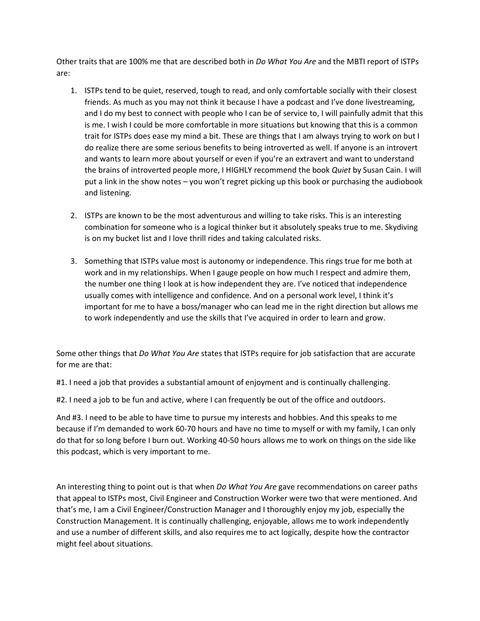Other traits that are 100% me that are described both in *Do What You Are* and the MBTI report of ISTPs are:

- 1. ISTPs tend to be quiet, reserved, tough to read, and only comfortable socially with their closest friends. As much as you may not think it because I have a podcast and I've done livestreaming, and I do my best to connect with people who I can be of service to, I will painfully admit that this is me. I wish I could be more comfortable in more situations but knowing that this is a common trait for ISTPs does ease my mind a bit. These are things that I am always trying to work on but I do realize there are some serious benefits to being introverted as well. If anyone is an introvert and wants to learn more about yourself or even if you're an extravert and want to understand the brains of introverted people more, I HIGHLY recommend the book *Quiet* by Susan Cain. I will put a link in the show notes – you won't regret picking up this book or purchasing the audiobook and listening.
- 2. ISTPs are known to be the most adventurous and willing to take risks. This is an interesting combination for someone who is a logical thinker but it absolutely speaks true to me. Skydiving is on my bucket list and I love thrill rides and taking calculated risks.
- 3. Something that ISTPs value most is autonomy or independence. This rings true for me both at work and in my relationships. When I gauge people on how much I respect and admire them, the number one thing I look at is how independent they are. I've noticed that independence usually comes with intelligence and confidence. And on a personal work level, I think it's important for me to have a boss/manager who can lead me in the right direction but allows me to work independently and use the skills that I've acquired in order to learn and grow.

Some other things that *Do What You Are* states that ISTPs require for job satisfaction that are accurate for me are that:

#1. I need a job that provides a substantial amount of enjoyment and is continually challenging.

#2. I need a job to be fun and active, where I can frequently be out of the office and outdoors.

And #3. I need to be able to have time to pursue my interests and hobbies. And this speaks to me because if I'm demanded to work 60-70 hours and have no time to myself or with my family, I can only do that for so long before I burn out. Working 40-50 hours allows me to work on things on the side like this podcast, which is very important to me.

An interesting thing to point out is that when *Do What You Are* gave recommendations on career paths that appeal to ISTPs most, Civil Engineer and Construction Worker were two that were mentioned. And that's me, I am a Civil Engineer/Construction Manager and I thoroughly enjoy my job, especially the Construction Management. It is continually challenging, enjoyable, allows me to work independently and use a number of different skills, and also requires me to act logically, despite how the contractor might feel about situations.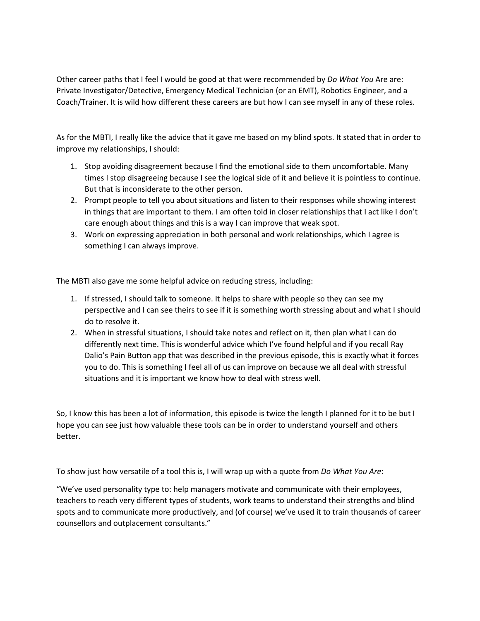Other career paths that I feel I would be good at that were recommended by *Do What You* Are are: Private Investigator/Detective, Emergency Medical Technician (or an EMT), Robotics Engineer, and a Coach/Trainer. It is wild how different these careers are but how I can see myself in any of these roles.

As for the MBTI, I really like the advice that it gave me based on my blind spots. It stated that in order to improve my relationships, I should:

- 1. Stop avoiding disagreement because I find the emotional side to them uncomfortable. Many times I stop disagreeing because I see the logical side of it and believe it is pointless to continue. But that is inconsiderate to the other person.
- 2. Prompt people to tell you about situations and listen to their responses while showing interest in things that are important to them. I am often told in closer relationships that I act like I don't care enough about things and this is a way I can improve that weak spot.
- 3. Work on expressing appreciation in both personal and work relationships, which I agree is something I can always improve.

The MBTI also gave me some helpful advice on reducing stress, including:

- 1. If stressed, I should talk to someone. It helps to share with people so they can see my perspective and I can see theirs to see if it is something worth stressing about and what I should do to resolve it.
- 2. When in stressful situations, I should take notes and reflect on it, then plan what I can do differently next time. This is wonderful advice which I've found helpful and if you recall Ray Dalio's Pain Button app that was described in the previous episode, this is exactly what it forces you to do. This is something I feel all of us can improve on because we all deal with stressful situations and it is important we know how to deal with stress well.

So, I know this has been a lot of information, this episode is twice the length I planned for it to be but I hope you can see just how valuable these tools can be in order to understand yourself and others better.

To show just how versatile of a tool this is, I will wrap up with a quote from *Do What You Are*:

"We've used personality type to: help managers motivate and communicate with their employees, teachers to reach very different types of students, work teams to understand their strengths and blind spots and to communicate more productively, and (of course) we've used it to train thousands of career counsellors and outplacement consultants."